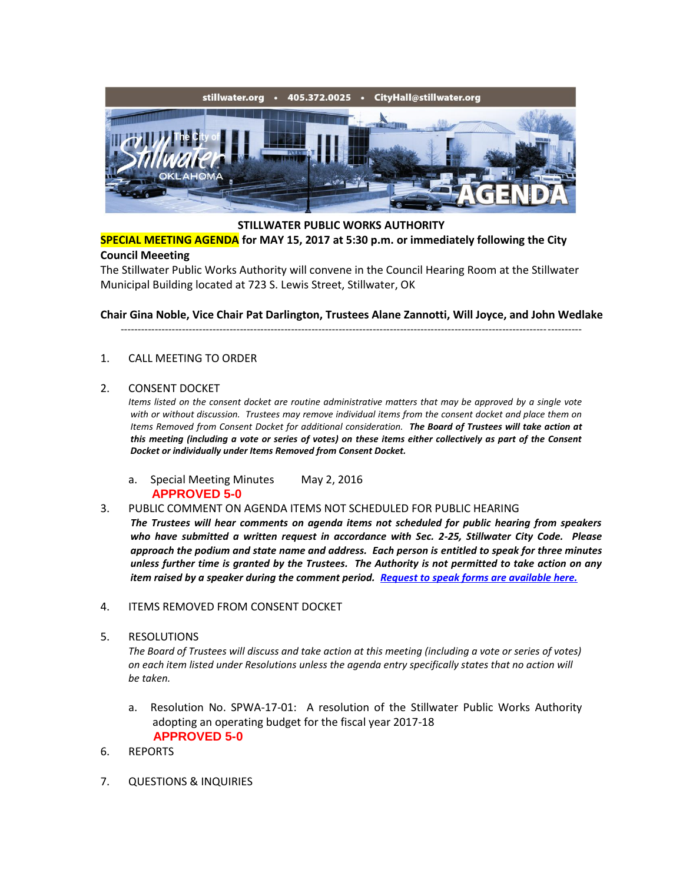

## **STILLWATER PUBLIC WORKS AUTHORITY**

**SPECIAL MEETING AGENDA for MAY 15, 2017 at 5:30 p.m. or immediately following the City Council Meeeting**

The Stillwater Public Works Authority will convene in the Council Hearing Room at the Stillwater Municipal Building located at 723 S. Lewis Street, Stillwater, OK

**Chair Gina Noble, Vice Chair Pat Darlington, Trustees Alane Zannotti, Will Joyce, and John Wedlake**

---------------------------------------------------------------------------------------------------------------------------------------

## 1. CALL MEETING TO ORDER

## 2. CONSENT DOCKET

*Items listed on the consent docket are routine administrative matters that may be approved by a single vote with or without discussion. Trustees may remove individual items from the consent docket and place them on Items Removed from Consent Docket for additional consideration. The Board of Trustees will take action at this meeting (including a vote or series of votes) on these items either collectively as part of the Consent Docket or individually under Items Removed from Consent Docket.*

- a. Special Meeting Minutes May 2, 2016 **APPROVED 5-0**
- 3. PUBLIC COMMENT ON AGENDA ITEMS NOT SCHEDULED FOR PUBLIC HEARING *The Trustees will hear comments on agenda items not scheduled for public hearing from speakers who have submitted a written request in accordance with Sec. 2-25, Stillwater City Code. Please approach the podium and state name and address. Each person is entitled to speak for three minutes unless further time is granted by the Trustees. The Authority is not permitted to take action on any item raised by a speaker during the comment period. [Request to speak forms are available here.](http://stillwater.org/document/request_to_speak_at_city_council.php)*
- 4. ITEMS REMOVED FROM CONSENT DOCKET
- 5. RESOLUTIONS

*The Board of Trustees will discuss and take action at this meeting (including a vote or series of votes) on each item listed under Resolutions unless the agenda entry specifically states that no action will be taken.*

- a. Resolution No. SPWA-17-01: A resolution of the Stillwater Public Works Authority adopting an operating budget for the fiscal year 2017-18  **APPROVED 5-0**
- 6. REPORTS
- 7. QUESTIONS & INQUIRIES